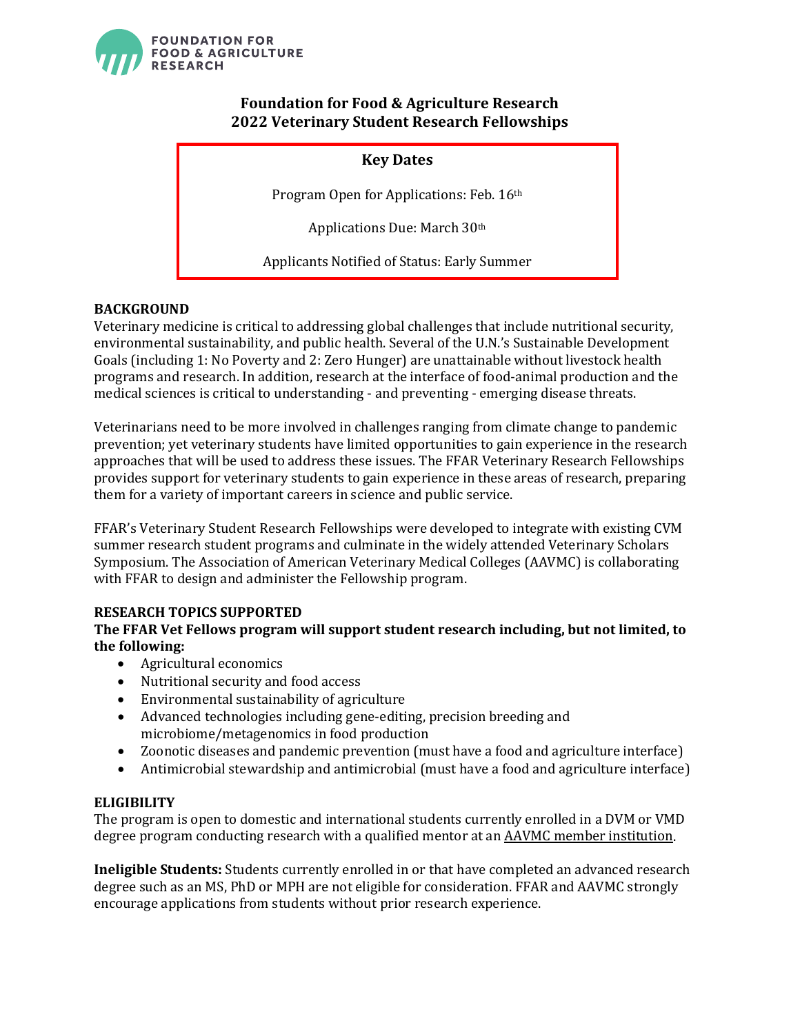

# **Foundation for Food & Agriculture Research 2022 Veterinary Student Research Fellowships**

# **Key Dates**

Program Open for Applications: Feb. 16th

Applications Due: March 30th

Applicants Notified of Status: Early Summer

## **BACKGROUND**

Veterinary medicine is critical to addressing global challenges that include nutritional security, environmental sustainability, and public health. Several of the U.N.'s Sustainable Development Goals (including 1: No Poverty and 2: Zero Hunger) are unattainable without livestock health programs and research. In addition, research at the interface of food-animal production and the medical sciences is critical to understanding - and preventing - emerging disease threats.

Veterinarians need to be more involved in challenges ranging from climate change to pandemic prevention; yet veterinary students have limited opportunities to gain experience in the research approaches that will be used to address these issues. The FFAR Veterinary Research Fellowships provides support for veterinary students to gain experience in these areas of research, preparing them for a variety of important careers in science and public service.

FFAR's Veterinary Student Research Fellowships were developed to integrate with existing CVM summer research student programs and culminate in the widely attended Veterinary Scholars Symposium. The Association of American Veterinary Medical Colleges (AAVMC) is collaborating with FFAR to design and administer the Fellowship program.

### **RESEARCH TOPICS SUPPORTED**

### **The FFAR Vet Fellows program will support student research including, but not limited, to the following:**

- Agricultural economics
- Nutritional security and food access
- Environmental sustainability of agriculture
- Advanced technologies including gene-editing, precision breeding and microbiome/metagenomics in food production
- Zoonotic diseases and pandemic prevention (must have a food and agriculture interface)
- Antimicrobial stewardship and antimicrobial (must have a food and agriculture interface)

### **ELIGIBILITY**

The program is open to domestic and international students currently enrolled in a DVM or VMD degree program conducting research with a qualified mentor at an **AAVMC** member institution.

**Ineligible Students:** Students currently enrolled in or that have completed an advanced research degree such as an MS, PhD or MPH are not eligible for consideration. FFAR and AAVMC strongly encourage applications from students without prior research experience.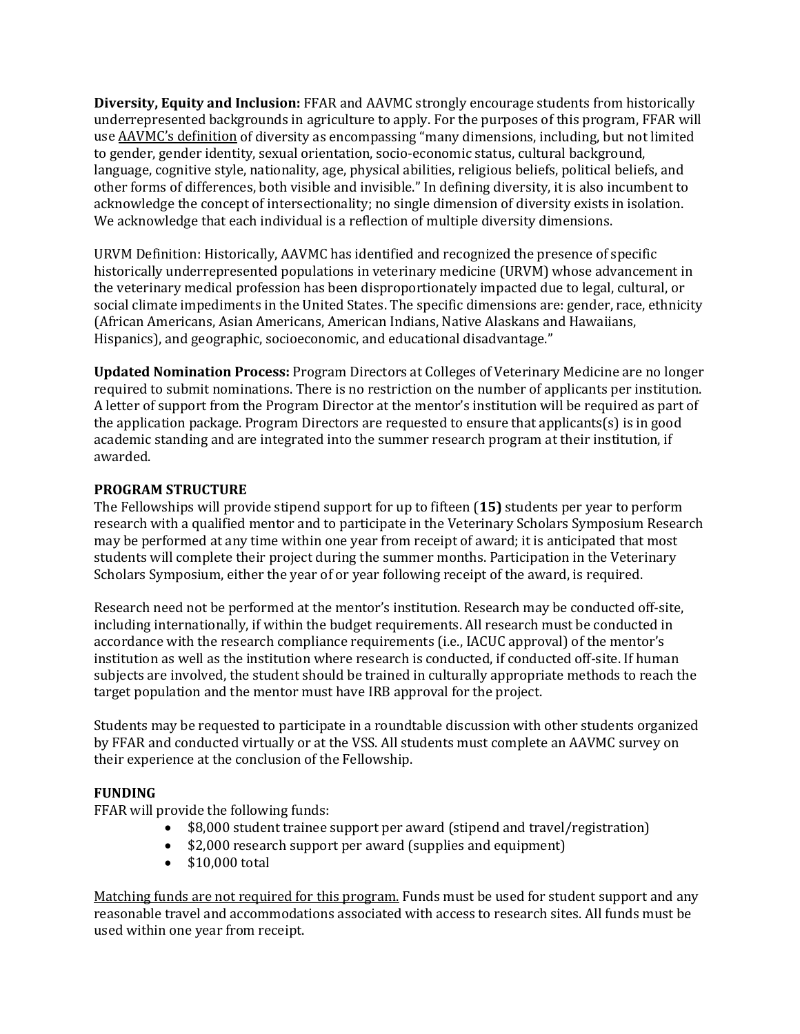**Diversity, Equity and Inclusion:** FFAR and AAVMC strongly encourage students from historically underrepresented backgrounds in agriculture to apply. For the purposes of this program, FFAR will us[e AAVMC's definition](https://www.aavmc.org/assets/Site_18/files/About_AAVMC/Definition%20of%20Diversity.pdf) of diversity as encompassing "many dimensions, including, but not limited to gender, gender identity, sexual orientation, socio-economic status, cultural background, language, cognitive style, nationality, age, physical abilities, religious beliefs, political beliefs, and other forms of differences, both visible and invisible." In defining diversity, it is also incumbent to acknowledge the concept of intersectionality; no single dimension of diversity exists in isolation. We acknowledge that each individual is a reflection of multiple diversity dimensions.

URVM Definition: Historically, AAVMC has identified and recognized the presence of specific historically underrepresented populations in veterinary medicine (URVM) whose advancement in the veterinary medical profession has been disproportionately impacted due to legal, cultural, or social climate impediments in the United States. The specific dimensions are: gender, race, ethnicity (African Americans, Asian Americans, American Indians, Native Alaskans and Hawaiians, Hispanics), and geographic, socioeconomic, and educational disadvantage."

**Updated Nomination Process:** Program Directors at Colleges of Veterinary Medicine are no longer required to submit nominations. There is no restriction on the number of applicants per institution. A letter of support from the Program Director at the mentor's institution will be required as part of the application package. Program Directors are requested to ensure that applicants(s) is in good academic standing and are integrated into the summer research program at their institution, if awarded.

#### **PROGRAM STRUCTURE**

The Fellowships will provide stipend support for up to fifteen (**15)** students per year to perform research with a qualified mentor and to participate in the Veterinary Scholars Symposium Research may be performed at any time within one year from receipt of award; it is anticipated that most students will complete their project during the summer months. Participation in the Veterinary Scholars Symposium, either the year of or year following receipt of the award, is required.

Research need not be performed at the mentor's institution. Research may be conducted off-site, including internationally, if within the budget requirements. All research must be conducted in accordance with the research compliance requirements (i.e., IACUC approval) of the mentor's institution as well as the institution where research is conducted, if conducted off-site. If human subjects are involved, the student should be trained in culturally appropriate methods to reach the target population and the mentor must have IRB approval for the project.

Students may be requested to participate in a roundtable discussion with other students organized by FFAR and conducted virtually or at the VSS. All students must complete an AAVMC survey on their experience at the conclusion of the Fellowship.

### **FUNDING**

FFAR will provide the following funds:

- \$8,000 student trainee support per award (stipend and travel/registration)
- \$2,000 research support per award (supplies and equipment)
- \$10,000 total

Matching funds are not required for this program. Funds must be used for student support and any reasonable travel and accommodations associated with access to research sites. All funds must be used within one year from receipt.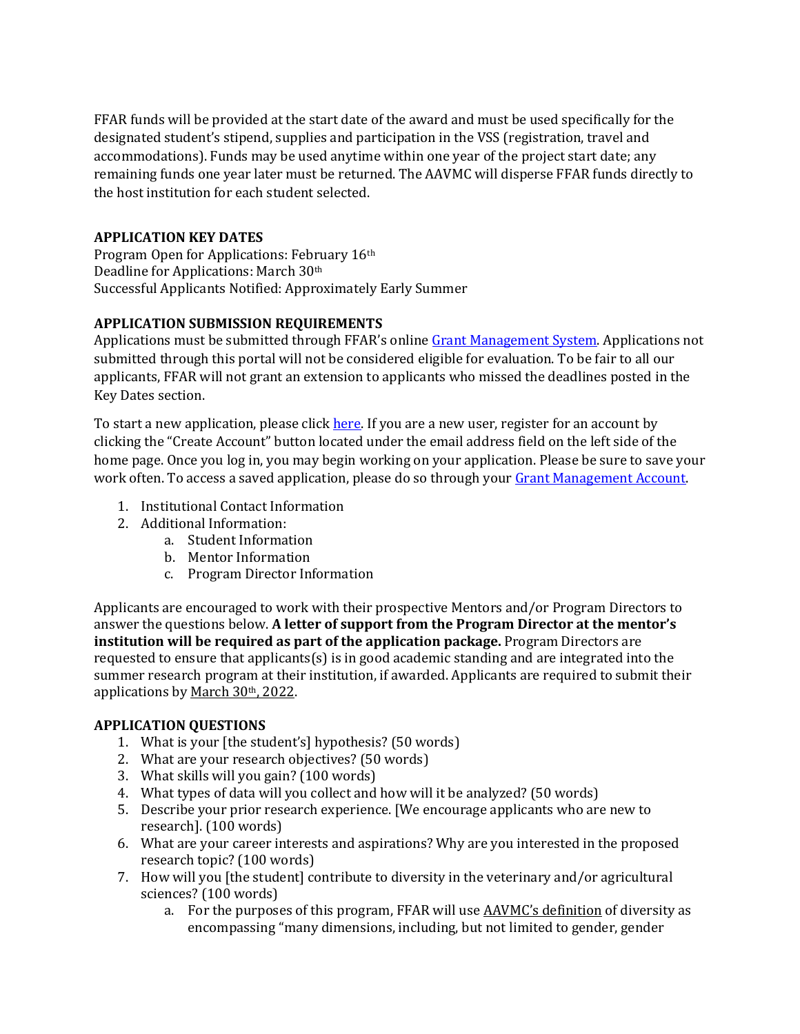FFAR funds will be provided at the start date of the award and must be used specifically for the designated student's stipend, supplies and participation in the VSS (registration, travel and accommodations). Funds may be used anytime within one year of the project start date; any remaining funds one year later must be returned. The AAVMC will disperse FFAR funds directly to the host institution for each student selected.

## **APPLICATION KEY DATES**

Program Open for Applications: February 16th Deadline for Applications: March 30th Successful Applicants Notified: Approximately Early Summer

# **APPLICATION SUBMISSION REQUIREMENTS**

Applications must be submitted through FFAR's onlin[e Grant Management System.](https://www.grantrequest.com/SID_6242?SA=SNA&FID=35016) Applications not submitted through this portal will not be considered eligible for evaluation. To be fair to all our applicants, FFAR will not grant an extension to applicants who missed the deadlines posted in the Key Dates section.

To start a new application, please click [here.](https://www.grantrequest.com/SID_6242?SA=SNA&FID=35053) If you are a new user, register for an account by clicking the "Create Account" button located under the email address field on the left side of the home page. Once you log in, you may begin working on your application. Please be sure to save your work often. To access a saved application, please do so through your [Grant Management Account.](https://www.grantrequest.com/SID_6242)

- 1. Institutional Contact Information
- 2. Additional Information:
	- a. Student Information
	- b. Mentor Information
	- c. Program Director Information

Applicants are encouraged to work with their prospective Mentors and/or Program Directors to answer the questions below. **A letter of support from the Program Director at the mentor's institution will be required as part of the application package.** Program Directors are requested to ensure that applicants $(s)$  is in good academic standing and are integrated into the summer research program at their institution, if awarded. Applicants are required to submit their applications by March 30th, 2022.

# **APPLICATION QUESTIONS**

- 1. What is your [the student's] hypothesis? (50 words)
- 2. What are your research objectives? (50 words)
- 3. What skills will you gain? (100 words)
- 4. What types of data will you collect and how will it be analyzed? (50 words)
- 5. Describe your prior research experience. [We encourage applicants who are new to research]. (100 words)
- 6. What are your career interests and aspirations? Why are you interested in the proposed research topic? (100 words)
- 7. How will you [the student] contribute to diversity in the veterinary and/or agricultural sciences? (100 words)
	- a. For the purposes of this program, FFAR will use **AAVMC's definition** of diversity as encompassing "many dimensions, including, but not limited to gender, gender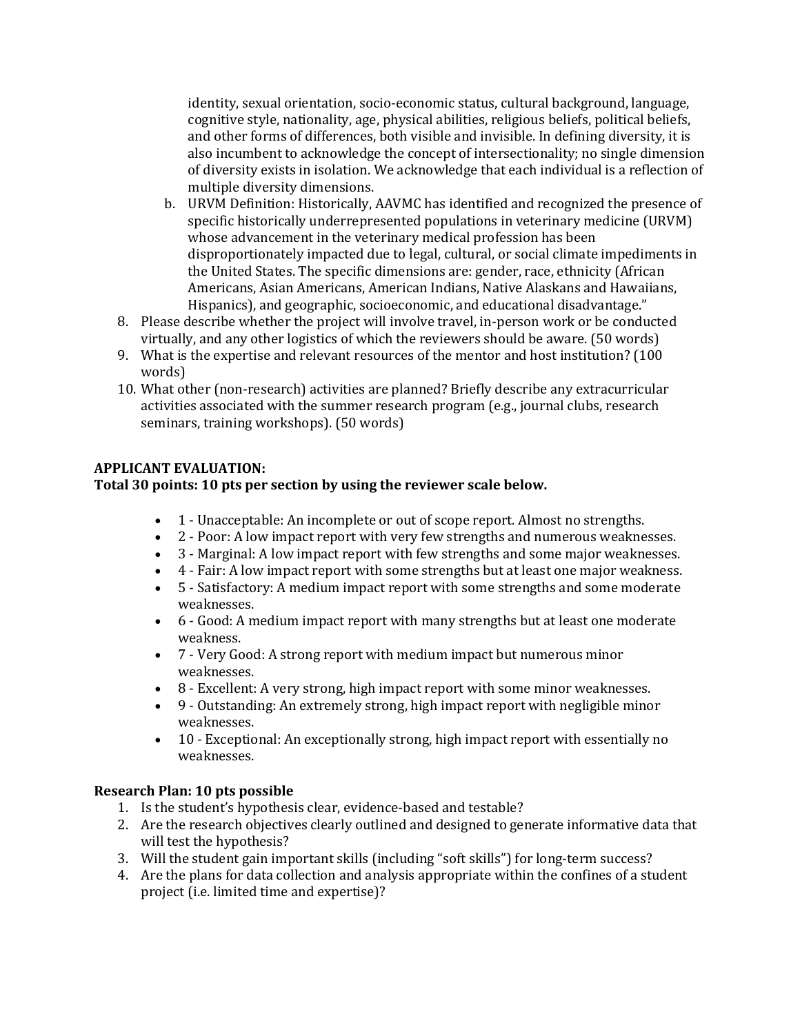identity, sexual orientation, socio-economic status, cultural background, language, cognitive style, nationality, age, physical abilities, religious beliefs, political beliefs, and other forms of differences, both visible and invisible. In defining diversity, it is also incumbent to acknowledge the concept of intersectionality; no single dimension of diversity exists in isolation. We acknowledge that each individual is a reflection of multiple diversity dimensions.

- b. URVM Definition: Historically, AAVMC has identified and recognized the presence of specific historically underrepresented populations in veterinary medicine (URVM) whose advancement in the veterinary medical profession has been disproportionately impacted due to legal, cultural, or social climate impediments in the United States. The specific dimensions are: gender, race, ethnicity (African Americans, Asian Americans, American Indians, Native Alaskans and Hawaiians, Hispanics), and geographic, socioeconomic, and educational disadvantage."
- 8. Please describe whether the project will involve travel, in-person work or be conducted virtually, and any other logistics of which the reviewers should be aware. (50 words)
- 9. What is the expertise and relevant resources of the mentor and host institution? (100 words)
- 10. What other (non-research) activities are planned? Briefly describe any extracurricular activities associated with the summer research program (e.g., journal clubs, research seminars, training workshops). (50 words)

### **APPLICANT EVALUATION:**

### **Total 30 points: 10 pts per section by using the reviewer scale below.**

- 1 Unacceptable: An incomplete or out of scope report. Almost no strengths.
- 2 Poor: A low impact report with very few strengths and numerous weaknesses.
- 3 Marginal: A low impact report with few strengths and some major weaknesses.
- 4 Fair: A low impact report with some strengths but at least one major weakness.
- 5 Satisfactory: A medium impact report with some strengths and some moderate weaknesses.
- 6 Good: A medium impact report with many strengths but at least one moderate weakness.
- 7 Very Good: A strong report with medium impact but numerous minor weaknesses.
- 8 Excellent: A very strong, high impact report with some minor weaknesses.
- 9 Outstanding: An extremely strong, high impact report with negligible minor weaknesses.
- 10 Exceptional: An exceptionally strong, high impact report with essentially no weaknesses.

### **Research Plan: 10 pts possible**

- 1. Is the student's hypothesis clear, evidence-based and testable?
- 2. Are the research objectives clearly outlined and designed to generate informative data that will test the hypothesis?
- 3. Will the student gain important skills (including "soft skills") for long-term success?
- 4. Are the plans for data collection and analysis appropriate within the confines of a student project (i.e. limited time and expertise)?